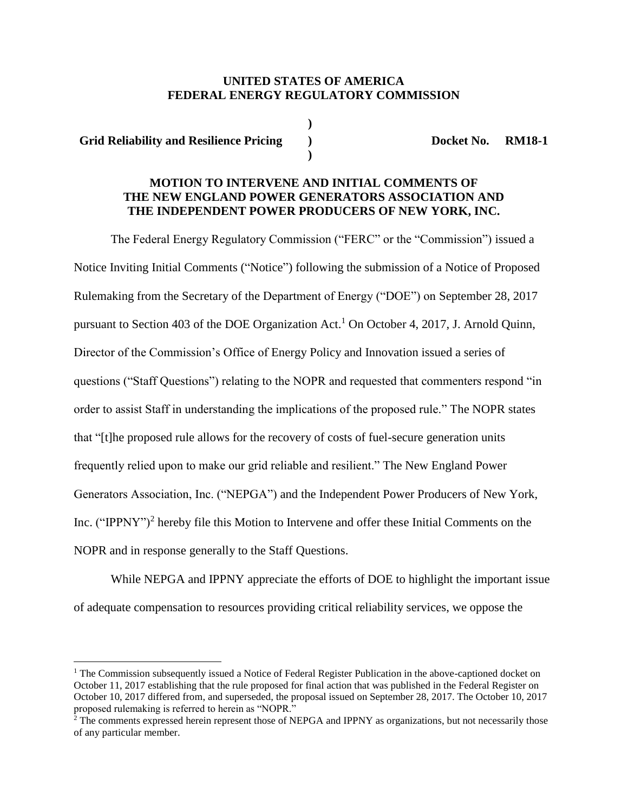## **UNITED STATES OF AMERICA FEDERAL ENERGY REGULATORY COMMISSION**

**)**

**)**

**Grid Reliability and Resilience Pricing ) Docket No. RM18-1**

 $\overline{a}$ 

# **MOTION TO INTERVENE AND INITIAL COMMENTS OF THE NEW ENGLAND POWER GENERATORS ASSOCIATION AND THE INDEPENDENT POWER PRODUCERS OF NEW YORK, INC.**

The Federal Energy Regulatory Commission ("FERC" or the "Commission") issued a Notice Inviting Initial Comments ("Notice") following the submission of a Notice of Proposed Rulemaking from the Secretary of the Department of Energy ("DOE") on September 28, 2017 pursuant to Section 403 of the DOE Organization Act.<sup>1</sup> On October 4, 2017, J. Arnold Quinn, Director of the Commission's Office of Energy Policy and Innovation issued a series of questions ("Staff Questions") relating to the NOPR and requested that commenters respond "in order to assist Staff in understanding the implications of the proposed rule." The NOPR states that "[t]he proposed rule allows for the recovery of costs of fuel-secure generation units frequently relied upon to make our grid reliable and resilient." The New England Power Generators Association, Inc. ("NEPGA") and the Independent Power Producers of New York, Inc. ("IPPNY")<sup>2</sup> hereby file this Motion to Intervene and offer these Initial Comments on the NOPR and in response generally to the Staff Questions.

While NEPGA and IPPNY appreciate the efforts of DOE to highlight the important issue of adequate compensation to resources providing critical reliability services, we oppose the

<sup>&</sup>lt;sup>1</sup> The Commission subsequently issued a Notice of Federal Register Publication in the above-captioned docket on October 11, 2017 establishing that the rule proposed for final action that was published in the Federal Register on October 10, 2017 differed from, and superseded, the proposal issued on September 28, 2017. The October 10, 2017 proposed rulemaking is referred to herein as "NOPR."

<sup>&</sup>lt;sup>2</sup> The comments expressed herein represent those of NEPGA and IPPNY as organizations, but not necessarily those of any particular member.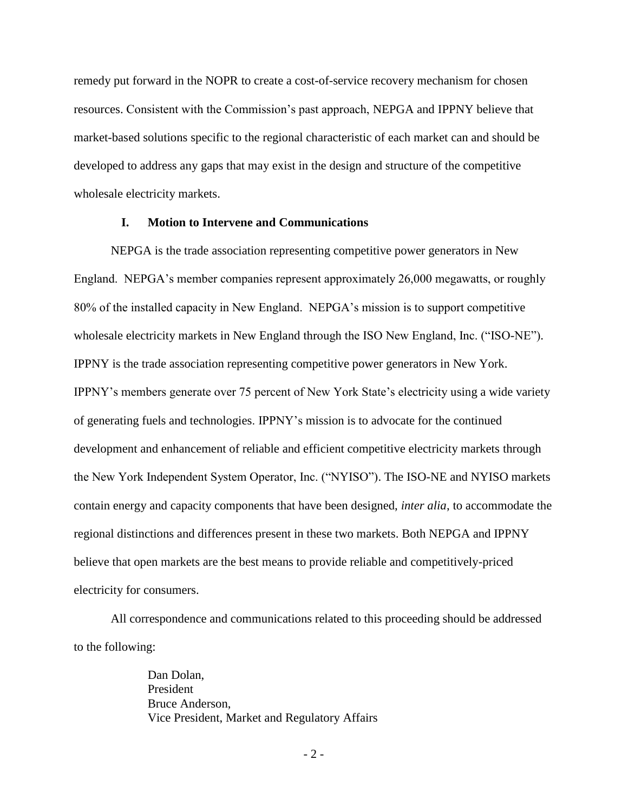remedy put forward in the NOPR to create a cost-of-service recovery mechanism for chosen resources. Consistent with the Commission's past approach, NEPGA and IPPNY believe that market-based solutions specific to the regional characteristic of each market can and should be developed to address any gaps that may exist in the design and structure of the competitive wholesale electricity markets.

### **I. Motion to Intervene and Communications**

NEPGA is the trade association representing competitive power generators in New England. NEPGA's member companies represent approximately 26,000 megawatts, or roughly 80% of the installed capacity in New England. NEPGA's mission is to support competitive wholesale electricity markets in New England through the ISO New England, Inc. ("ISO-NE"). IPPNY is the trade association representing competitive power generators in New York. IPPNY's members generate over 75 percent of New York State's electricity using a wide variety of generating fuels and technologies. IPPNY's mission is to advocate for the continued development and enhancement of reliable and efficient competitive electricity markets through the New York Independent System Operator, Inc. ("NYISO"). The ISO-NE and NYISO markets contain energy and capacity components that have been designed, *inter alia*, to accommodate the regional distinctions and differences present in these two markets. Both NEPGA and IPPNY believe that open markets are the best means to provide reliable and competitively-priced electricity for consumers.

All correspondence and communications related to this proceeding should be addressed to the following:

> Dan Dolan, President Bruce Anderson, Vice President, Market and Regulatory Affairs

> > - 2 -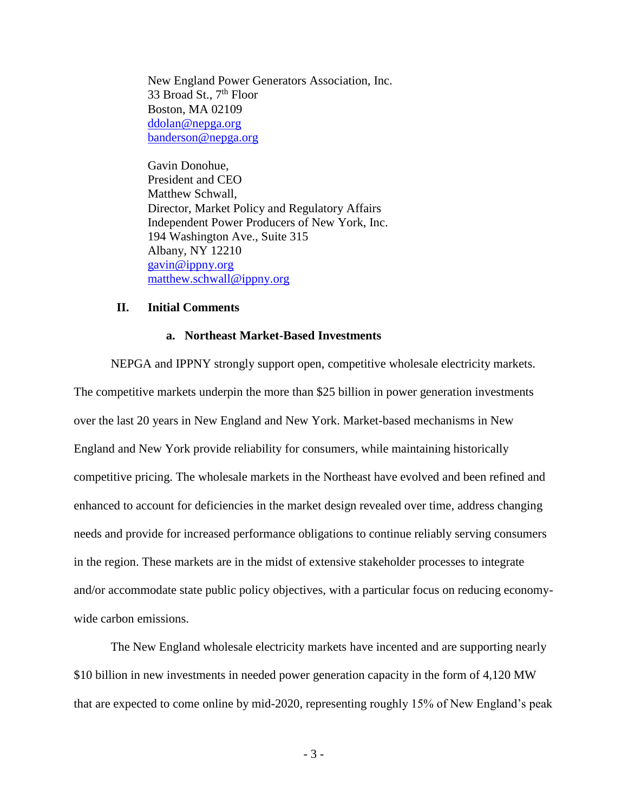New England Power Generators Association, Inc. 33 Broad St.,  $7<sup>th</sup>$  Floor Boston, MA 02109 [ddolan@nepga.org](mailto:ddolan@nepga.org) [banderson@nepga.org](mailto:banderson@nepga.org)

Gavin Donohue, President and CEO Matthew Schwall, Director, Market Policy and Regulatory Affairs Independent Power Producers of New York, Inc. 194 Washington Ave., Suite 315 Albany, NY 12210 [gavin@ippny.org](mailto:gavin@ippny.org) [matthew.schwall@ippny.org](mailto:matthew.schwall@ippny.org)

### **II. Initial Comments**

#### **a. Northeast Market-Based Investments**

NEPGA and IPPNY strongly support open, competitive wholesale electricity markets. The competitive markets underpin the more than \$25 billion in power generation investments over the last 20 years in New England and New York. Market-based mechanisms in New England and New York provide reliability for consumers, while maintaining historically competitive pricing. The wholesale markets in the Northeast have evolved and been refined and enhanced to account for deficiencies in the market design revealed over time, address changing needs and provide for increased performance obligations to continue reliably serving consumers in the region. These markets are in the midst of extensive stakeholder processes to integrate and/or accommodate state public policy objectives, with a particular focus on reducing economywide carbon emissions.

The New England wholesale electricity markets have incented and are supporting nearly \$10 billion in new investments in needed power generation capacity in the form of 4,120 MW that are expected to come online by mid-2020, representing roughly 15% of New England's peak

- 3 -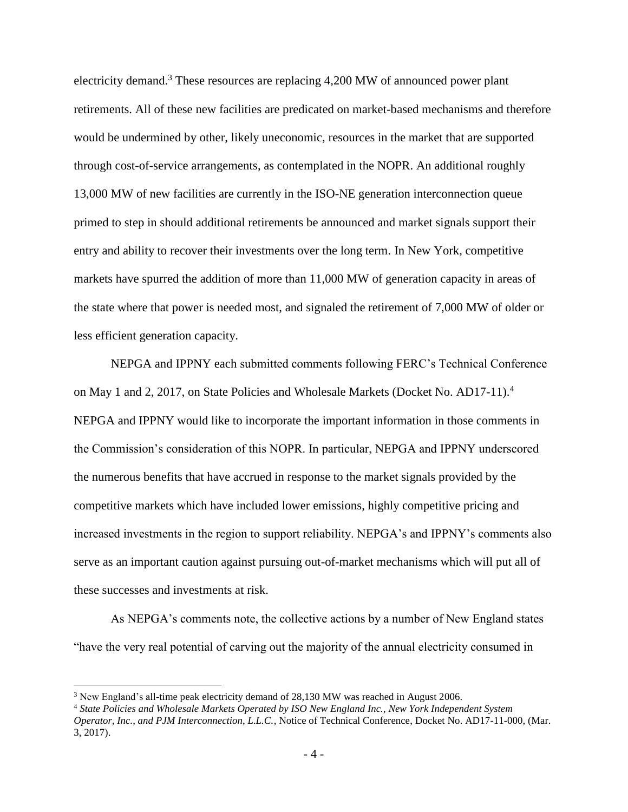electricity demand.<sup>3</sup> These resources are replacing 4,200 MW of announced power plant retirements. All of these new facilities are predicated on market-based mechanisms and therefore would be undermined by other, likely uneconomic, resources in the market that are supported through cost-of-service arrangements, as contemplated in the NOPR. An additional roughly 13,000 MW of new facilities are currently in the ISO-NE generation interconnection queue primed to step in should additional retirements be announced and market signals support their entry and ability to recover their investments over the long term. In New York, competitive markets have spurred the addition of more than 11,000 MW of generation capacity in areas of the state where that power is needed most, and signaled the retirement of 7,000 MW of older or less efficient generation capacity.

NEPGA and IPPNY each submitted comments following FERC's Technical Conference on May 1 and 2, 2017, on State Policies and Wholesale Markets (Docket No. AD17-11).<sup>4</sup> NEPGA and IPPNY would like to incorporate the important information in those comments in the Commission's consideration of this NOPR. In particular, NEPGA and IPPNY underscored the numerous benefits that have accrued in response to the market signals provided by the competitive markets which have included lower emissions, highly competitive pricing and increased investments in the region to support reliability. NEPGA's and IPPNY's comments also serve as an important caution against pursuing out-of-market mechanisms which will put all of these successes and investments at risk.

As NEPGA's comments note, the collective actions by a number of New England states "have the very real potential of carving out the majority of the annual electricity consumed in

<sup>3</sup> New England's all-time peak electricity demand of 28,130 MW was reached in August 2006.

<sup>4</sup> *State Policies and Wholesale Markets Operated by ISO New England Inc., New York Independent System Operator, Inc., and PJM Interconnection, L.L.C.*, Notice of Technical Conference, Docket No. AD17-11-000, (Mar. 3, 2017).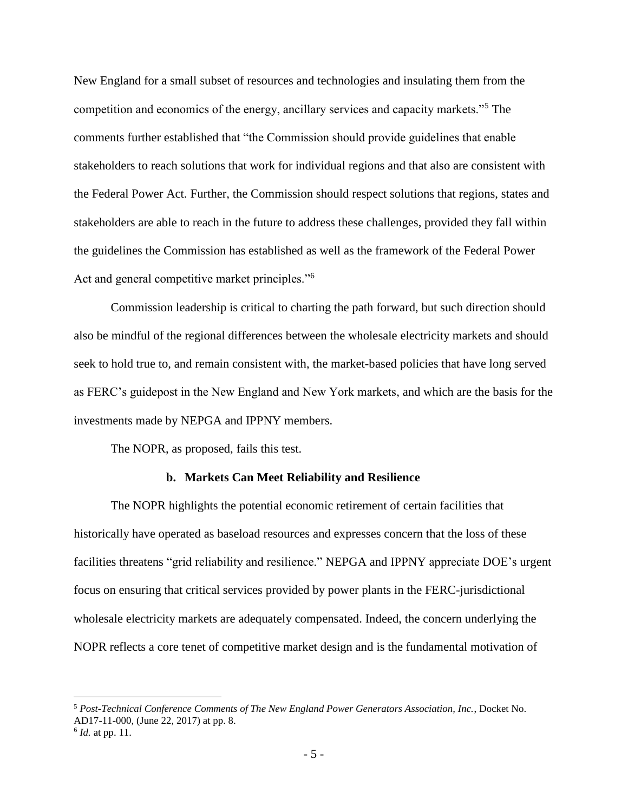New England for a small subset of resources and technologies and insulating them from the competition and economics of the energy, ancillary services and capacity markets."<sup>5</sup> The comments further established that "the Commission should provide guidelines that enable stakeholders to reach solutions that work for individual regions and that also are consistent with the Federal Power Act. Further, the Commission should respect solutions that regions, states and stakeholders are able to reach in the future to address these challenges, provided they fall within the guidelines the Commission has established as well as the framework of the Federal Power Act and general competitive market principles."<sup>6</sup>

Commission leadership is critical to charting the path forward, but such direction should also be mindful of the regional differences between the wholesale electricity markets and should seek to hold true to, and remain consistent with, the market-based policies that have long served as FERC's guidepost in the New England and New York markets, and which are the basis for the investments made by NEPGA and IPPNY members.

The NOPR, as proposed, fails this test.

### **b. Markets Can Meet Reliability and Resilience**

The NOPR highlights the potential economic retirement of certain facilities that historically have operated as baseload resources and expresses concern that the loss of these facilities threatens "grid reliability and resilience." NEPGA and IPPNY appreciate DOE's urgent focus on ensuring that critical services provided by power plants in the FERC-jurisdictional wholesale electricity markets are adequately compensated. Indeed, the concern underlying the NOPR reflects a core tenet of competitive market design and is the fundamental motivation of

<sup>5</sup> *Post-Technical Conference Comments of The New England Power Generators Association, Inc.*, Docket No. AD17-11-000, (June 22, 2017) at pp. 8.

<sup>6</sup> *Id.* at pp. 11.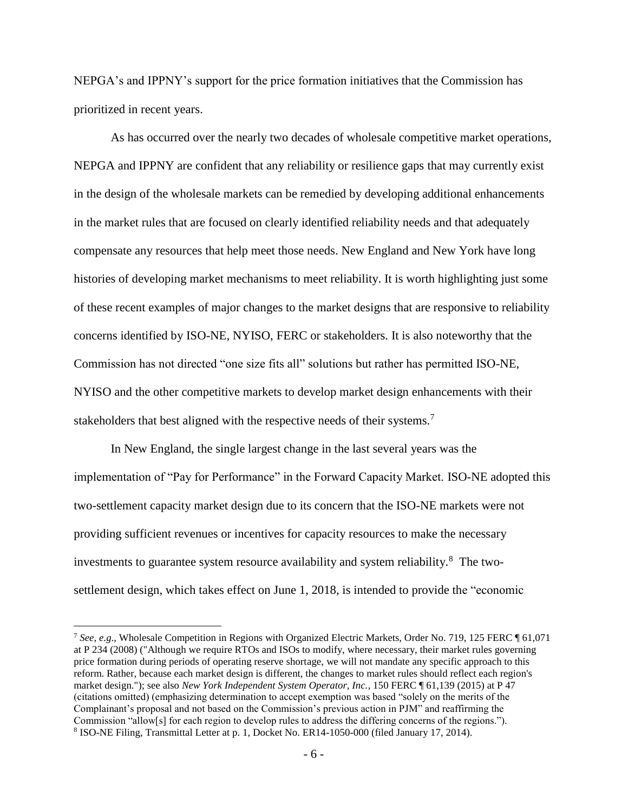NEPGA's and IPPNY's support for the price formation initiatives that the Commission has prioritized in recent years.

As has occurred over the nearly two decades of wholesale competitive market operations, NEPGA and IPPNY are confident that any reliability or resilience gaps that may currently exist in the design of the wholesale markets can be remedied by developing additional enhancements in the market rules that are focused on clearly identified reliability needs and that adequately compensate any resources that help meet those needs. New England and New York have long histories of developing market mechanisms to meet reliability. It is worth highlighting just some of these recent examples of major changes to the market designs that are responsive to reliability concerns identified by ISO-NE, NYISO, FERC or stakeholders. It is also noteworthy that the Commission has not directed "one size fits all" solutions but rather has permitted ISO-NE, NYISO and the other competitive markets to develop market design enhancements with their stakeholders that best aligned with the respective needs of their systems.<sup>7</sup>

In New England, the single largest change in the last several years was the implementation of "Pay for Performance" in the Forward Capacity Market. ISO-NE adopted this two-settlement capacity market design due to its concern that the ISO-NE markets were not providing sufficient revenues or incentives for capacity resources to make the necessary investments to guarantee system resource availability and system reliability.<sup>8</sup> The twosettlement design, which takes effect on June 1, 2018, is intended to provide the "economic

<sup>7</sup> *See, e.g*., Wholesale Competition in Regions with Organized Electric Markets, Order No. 719, 125 FERC ¶ 61,071 at P 234 (2008) ("Although we require RTOs and ISOs to modify, where necessary, their market rules governing price formation during periods of operating reserve shortage, we will not mandate any specific approach to this reform. Rather, because each market design is different, the changes to market rules should reflect each region's market design."); see also *New York Independent System Operator, Inc.*, 150 FERC ¶ 61,139 (2015) at P 47 (citations omitted) (emphasizing determination to accept exemption was based "solely on the merits of the Complainant's proposal and not based on the Commission's previous action in PJM" and reaffirming the Commission "allow[s] for each region to develop rules to address the differing concerns of the regions."). 8 ISO-NE Filing, Transmittal Letter at p. 1, Docket No. ER14-1050-000 (filed January 17, 2014).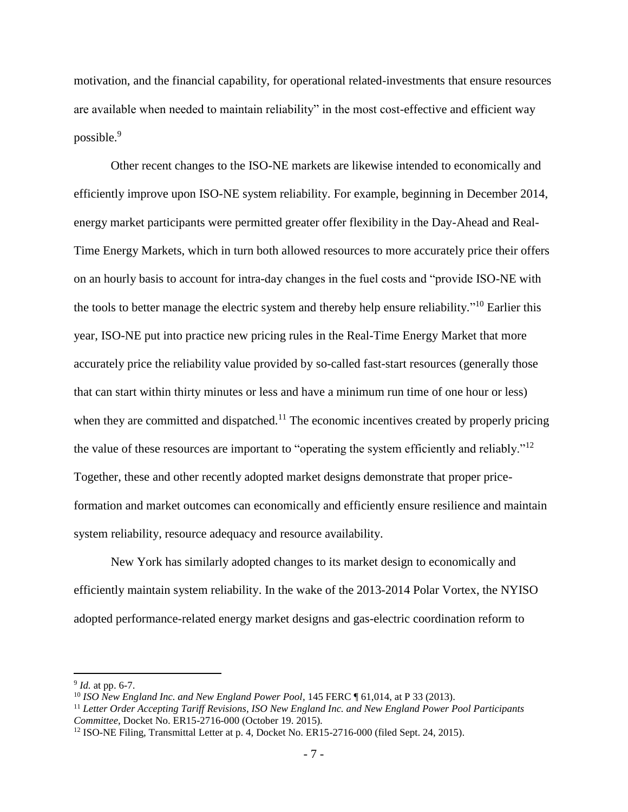motivation, and the financial capability, for operational related-investments that ensure resources are available when needed to maintain reliability" in the most cost-effective and efficient way possible.<sup>9</sup>

Other recent changes to the ISO-NE markets are likewise intended to economically and efficiently improve upon ISO-NE system reliability. For example, beginning in December 2014, energy market participants were permitted greater offer flexibility in the Day-Ahead and Real-Time Energy Markets, which in turn both allowed resources to more accurately price their offers on an hourly basis to account for intra-day changes in the fuel costs and "provide ISO-NE with the tools to better manage the electric system and thereby help ensure reliability."<sup>10</sup> Earlier this year, ISO-NE put into practice new pricing rules in the Real-Time Energy Market that more accurately price the reliability value provided by so-called fast-start resources (generally those that can start within thirty minutes or less and have a minimum run time of one hour or less) when they are committed and dispatched.<sup>11</sup> The economic incentives created by properly pricing the value of these resources are important to "operating the system efficiently and reliably."<sup>12</sup> Together, these and other recently adopted market designs demonstrate that proper priceformation and market outcomes can economically and efficiently ensure resilience and maintain system reliability, resource adequacy and resource availability.

New York has similarly adopted changes to its market design to economically and efficiently maintain system reliability. In the wake of the 2013-2014 Polar Vortex, the NYISO adopted performance-related energy market designs and gas-electric coordination reform to

<sup>9</sup> *Id.* at pp. 6-7.

<sup>10</sup> *ISO New England Inc. and New England Power Pool*, 145 FERC ¶ 61,014, at P 33 (2013).

<sup>11</sup> *Letter Order Accepting Tariff Revisions, ISO New England Inc. and New England Power Pool Participants Committee*, Docket No. ER15-2716-000 (October 19. 2015).

 $12$  ISO-NE Filing, Transmittal Letter at p. 4, Docket No. ER15-2716-000 (filed Sept. 24, 2015).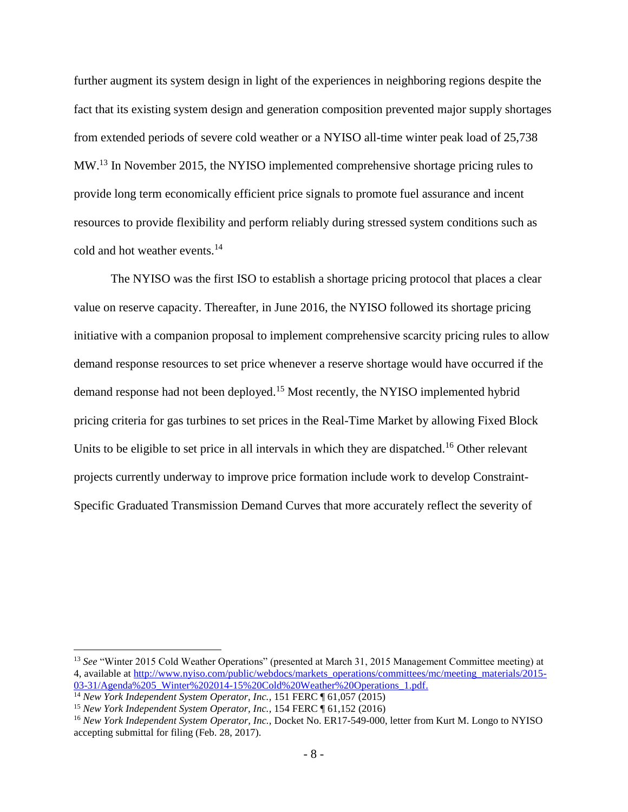further augment its system design in light of the experiences in neighboring regions despite the fact that its existing system design and generation composition prevented major supply shortages from extended periods of severe cold weather or a NYISO all-time winter peak load of 25,738 MW.<sup>13</sup> In November 2015, the NYISO implemented comprehensive shortage pricing rules to provide long term economically efficient price signals to promote fuel assurance and incent resources to provide flexibility and perform reliably during stressed system conditions such as cold and hot weather events.<sup>14</sup>

The NYISO was the first ISO to establish a shortage pricing protocol that places a clear value on reserve capacity. Thereafter, in June 2016, the NYISO followed its shortage pricing initiative with a companion proposal to implement comprehensive scarcity pricing rules to allow demand response resources to set price whenever a reserve shortage would have occurred if the demand response had not been deployed.<sup>15</sup> Most recently, the NYISO implemented hybrid pricing criteria for gas turbines to set prices in the Real-Time Market by allowing Fixed Block Units to be eligible to set price in all intervals in which they are dispatched.<sup>16</sup> Other relevant projects currently underway to improve price formation include work to develop Constraint-Specific Graduated Transmission Demand Curves that more accurately reflect the severity of

<sup>13</sup> *See* "Winter 2015 Cold Weather Operations" (presented at March 31, 2015 Management Committee meeting) at 4, available at [http://www.nyiso.com/public/webdocs/markets\\_operations/committees/mc/meeting\\_materials/2015-](http://www.nyiso.com/public/webdocs/markets_operations/committees/mc/meeting_materials/2015-03-31/Agenda%205_Winter%202014-15%20Cold%20Weather%20Operations_1.pdf) [03-31/Agenda%205\\_Winter%202014-15%20Cold%20Weather%20Operations\\_1.pdf.](http://www.nyiso.com/public/webdocs/markets_operations/committees/mc/meeting_materials/2015-03-31/Agenda%205_Winter%202014-15%20Cold%20Weather%20Operations_1.pdf)

<sup>&</sup>lt;sup>14</sup> *New York Independent System Operator, Inc.,* 151 FERC ¶ 61,057 (2015)

<sup>&</sup>lt;sup>15</sup> New York Independent System Operator, Inc., 154 FERC [ 61,152 (2016)

<sup>16</sup> *New York Independent System Operator, Inc.,* Docket No. ER17-549-000, letter from Kurt M. Longo to NYISO accepting submittal for filing (Feb. 28, 2017).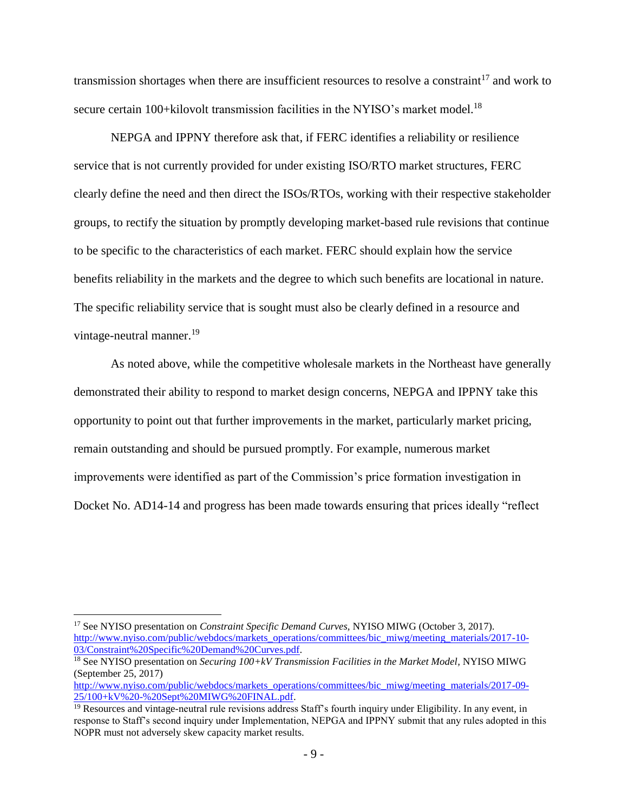transmission shortages when there are insufficient resources to resolve a constraint<sup>17</sup> and work to secure certain 100+kilovolt transmission facilities in the NYISO's market model.<sup>18</sup>

NEPGA and IPPNY therefore ask that, if FERC identifies a reliability or resilience service that is not currently provided for under existing ISO/RTO market structures, FERC clearly define the need and then direct the ISOs/RTOs, working with their respective stakeholder groups, to rectify the situation by promptly developing market-based rule revisions that continue to be specific to the characteristics of each market. FERC should explain how the service benefits reliability in the markets and the degree to which such benefits are locational in nature. The specific reliability service that is sought must also be clearly defined in a resource and vintage-neutral manner.<sup>19</sup>

As noted above, while the competitive wholesale markets in the Northeast have generally demonstrated their ability to respond to market design concerns, NEPGA and IPPNY take this opportunity to point out that further improvements in the market, particularly market pricing, remain outstanding and should be pursued promptly. For example, numerous market improvements were identified as part of the Commission's price formation investigation in Docket No. AD14-14 and progress has been made towards ensuring that prices ideally "reflect

<sup>17</sup> See NYISO presentation on *Constraint Specific Demand Curves,* NYISO MIWG (October 3, 2017). [http://www.nyiso.com/public/webdocs/markets\\_operations/committees/bic\\_miwg/meeting\\_materials/2017-10-](http://www.nyiso.com/public/webdocs/markets_operations/committees/bic_miwg/meeting_materials/2017-10-03/Constraint%20Specific%20Demand%20Curves.pdf) [03/Constraint%20Specific%20Demand%20Curves.pdf.](http://www.nyiso.com/public/webdocs/markets_operations/committees/bic_miwg/meeting_materials/2017-10-03/Constraint%20Specific%20Demand%20Curves.pdf)

<sup>&</sup>lt;sup>18</sup> See NYISO presentation on *Securing 100+kV Transmission Facilities in the Market Model*, NYISO MIWG (September 25, 2017)

[http://www.nyiso.com/public/webdocs/markets\\_operations/committees/bic\\_miwg/meeting\\_materials/2017-09-](http://www.nyiso.com/public/webdocs/markets_operations/committees/bic_miwg/meeting_materials/2017-09-25/100+kV%20-%20Sept%20MIWG%20FINAL.pdf) [25/100+kV%20-%20Sept%20MIWG%20FINAL.pdf.](http://www.nyiso.com/public/webdocs/markets_operations/committees/bic_miwg/meeting_materials/2017-09-25/100+kV%20-%20Sept%20MIWG%20FINAL.pdf)

<sup>&</sup>lt;sup>19</sup> Resources and vintage-neutral rule revisions address Staff's fourth inquiry under Eligibility. In any event, in response to Staff's second inquiry under Implementation, NEPGA and IPPNY submit that any rules adopted in this NOPR must not adversely skew capacity market results.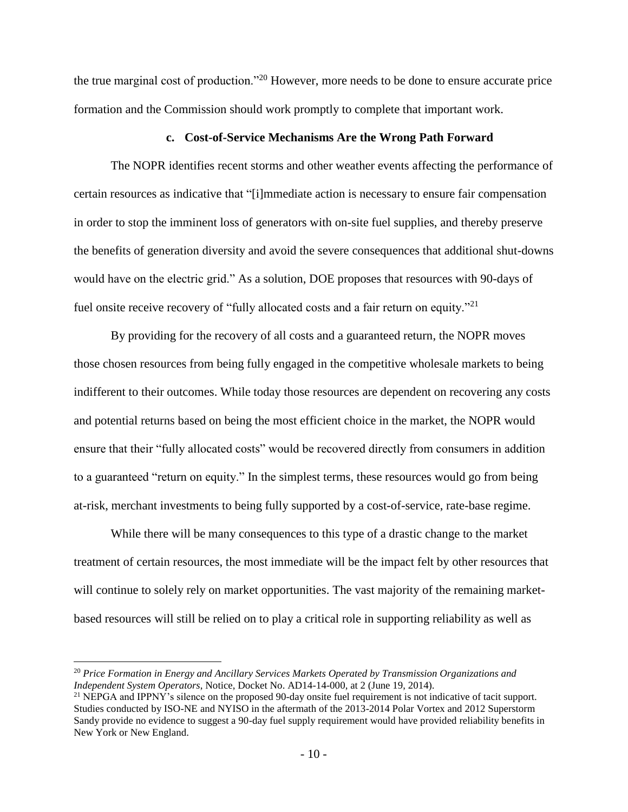the true marginal cost of production."<sup>20</sup> However, more needs to be done to ensure accurate price formation and the Commission should work promptly to complete that important work.

### **c. Cost-of-Service Mechanisms Are the Wrong Path Forward**

The NOPR identifies recent storms and other weather events affecting the performance of certain resources as indicative that "[i]mmediate action is necessary to ensure fair compensation in order to stop the imminent loss of generators with on-site fuel supplies, and thereby preserve the benefits of generation diversity and avoid the severe consequences that additional shut-downs would have on the electric grid." As a solution, DOE proposes that resources with 90-days of fuel onsite receive recovery of "fully allocated costs and a fair return on equity."<sup>21</sup>

By providing for the recovery of all costs and a guaranteed return, the NOPR moves those chosen resources from being fully engaged in the competitive wholesale markets to being indifferent to their outcomes. While today those resources are dependent on recovering any costs and potential returns based on being the most efficient choice in the market, the NOPR would ensure that their "fully allocated costs" would be recovered directly from consumers in addition to a guaranteed "return on equity." In the simplest terms, these resources would go from being at-risk, merchant investments to being fully supported by a cost-of-service, rate-base regime.

While there will be many consequences to this type of a drastic change to the market treatment of certain resources, the most immediate will be the impact felt by other resources that will continue to solely rely on market opportunities. The vast majority of the remaining marketbased resources will still be relied on to play a critical role in supporting reliability as well as

<sup>20</sup> *Price Formation in Energy and Ancillary Services Markets Operated by Transmission Organizations and Independent System Operators*, Notice, Docket No. AD14-14-000, at 2 (June 19, 2014).

<sup>&</sup>lt;sup>21</sup> NEPGA and IPPNY's silence on the proposed 90-day onsite fuel requirement is not indicative of tacit support. Studies conducted by ISO-NE and NYISO in the aftermath of the 2013-2014 Polar Vortex and 2012 Superstorm Sandy provide no evidence to suggest a 90-day fuel supply requirement would have provided reliability benefits in New York or New England.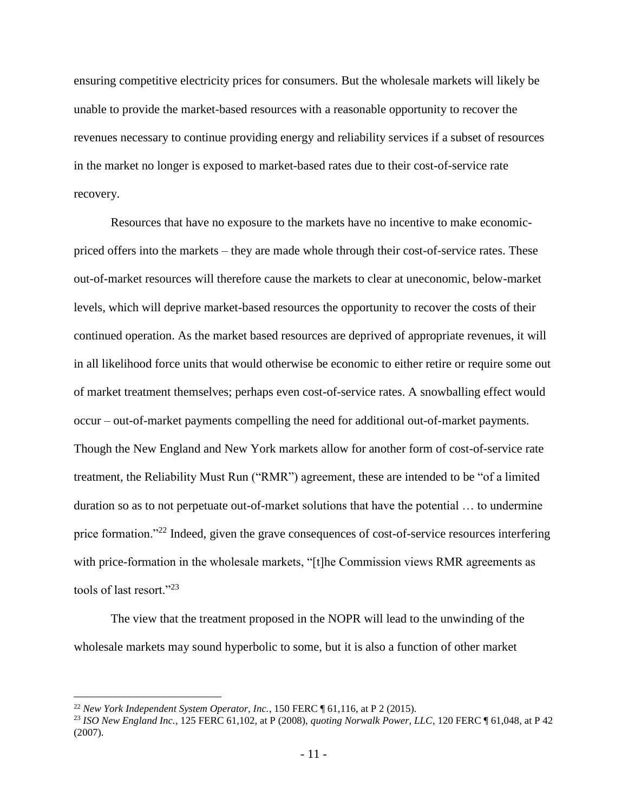ensuring competitive electricity prices for consumers. But the wholesale markets will likely be unable to provide the market-based resources with a reasonable opportunity to recover the revenues necessary to continue providing energy and reliability services if a subset of resources in the market no longer is exposed to market-based rates due to their cost-of-service rate recovery.

Resources that have no exposure to the markets have no incentive to make economicpriced offers into the markets – they are made whole through their cost-of-service rates. These out-of-market resources will therefore cause the markets to clear at uneconomic, below-market levels, which will deprive market-based resources the opportunity to recover the costs of their continued operation. As the market based resources are deprived of appropriate revenues, it will in all likelihood force units that would otherwise be economic to either retire or require some out of market treatment themselves; perhaps even cost-of-service rates. A snowballing effect would occur – out-of-market payments compelling the need for additional out-of-market payments. Though the New England and New York markets allow for another form of cost-of-service rate treatment, the Reliability Must Run ("RMR") agreement, these are intended to be "of a limited duration so as to not perpetuate out-of-market solutions that have the potential … to undermine price formation."<sup>22</sup> Indeed, given the grave consequences of cost-of-service resources interfering with price-formation in the wholesale markets, "[t]he Commission views RMR agreements as tools of last resort."<sup>23</sup>

The view that the treatment proposed in the NOPR will lead to the unwinding of the wholesale markets may sound hyperbolic to some, but it is also a function of other market

<sup>22</sup> *New York Independent System Operator, Inc.*, 150 FERC ¶ 61,116, at P 2 (2015).

<sup>23</sup> *ISO New England Inc.*, 125 FERC 61,102, at P (2008), *quoting Norwalk Power, LLC*, 120 FERC ¶ 61,048, at P 42 (2007).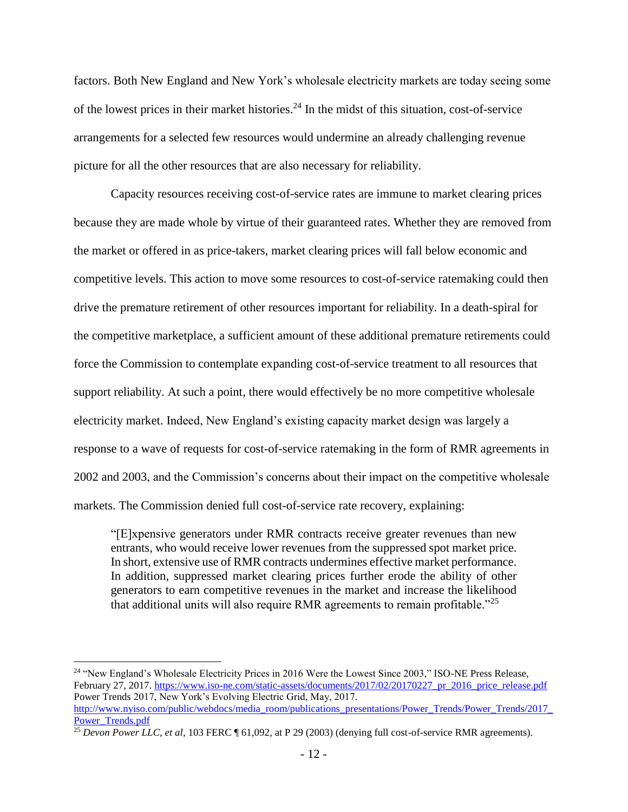factors. Both New England and New York's wholesale electricity markets are today seeing some of the lowest prices in their market histories.<sup>24</sup> In the midst of this situation, cost-of-service arrangements for a selected few resources would undermine an already challenging revenue picture for all the other resources that are also necessary for reliability.

Capacity resources receiving cost-of-service rates are immune to market clearing prices because they are made whole by virtue of their guaranteed rates. Whether they are removed from the market or offered in as price-takers, market clearing prices will fall below economic and competitive levels. This action to move some resources to cost-of-service ratemaking could then drive the premature retirement of other resources important for reliability. In a death-spiral for the competitive marketplace, a sufficient amount of these additional premature retirements could force the Commission to contemplate expanding cost-of-service treatment to all resources that support reliability. At such a point, there would effectively be no more competitive wholesale electricity market. Indeed, New England's existing capacity market design was largely a response to a wave of requests for cost-of-service ratemaking in the form of RMR agreements in 2002 and 2003, and the Commission's concerns about their impact on the competitive wholesale markets. The Commission denied full cost-of-service rate recovery, explaining:

"[E]xpensive generators under RMR contracts receive greater revenues than new entrants, who would receive lower revenues from the suppressed spot market price. In short, extensive use of RMR contracts undermines effective market performance. In addition, suppressed market clearing prices further erode the ability of other generators to earn competitive revenues in the market and increase the likelihood that additional units will also require RMR agreements to remain profitable.<sup> $25$ </sup>

<sup>24</sup> "New England's Wholesale Electricity Prices in 2016 Were the Lowest Since 2003," ISO-NE Press Release, February 27, 2017[. https://www.iso-ne.com/static-assets/documents/2017/02/20170227\\_pr\\_2016\\_price\\_release.pdf](https://www.iso-ne.com/static-assets/documents/2017/02/20170227_pr_2016_price_release.pdf) Power Trends 2017, New York's Evolving Electric Grid, May, 2017. [http://www.nyiso.com/public/webdocs/media\\_room/publications\\_presentations/Power\\_Trends/Power\\_Trends/2017\\_](http://www.nyiso.com/public/webdocs/media_room/publications_presentations/Power_Trends/Power_Trends/2017_Power_Trends.pdf) [Power\\_Trends.pdf](http://www.nyiso.com/public/webdocs/media_room/publications_presentations/Power_Trends/Power_Trends/2017_Power_Trends.pdf)

<sup>&</sup>lt;sup>25</sup> *Devon Power LLC, et al,* 103 FERC ¶ 61,092, at P 29 (2003) (denying full cost-of-service RMR agreements).